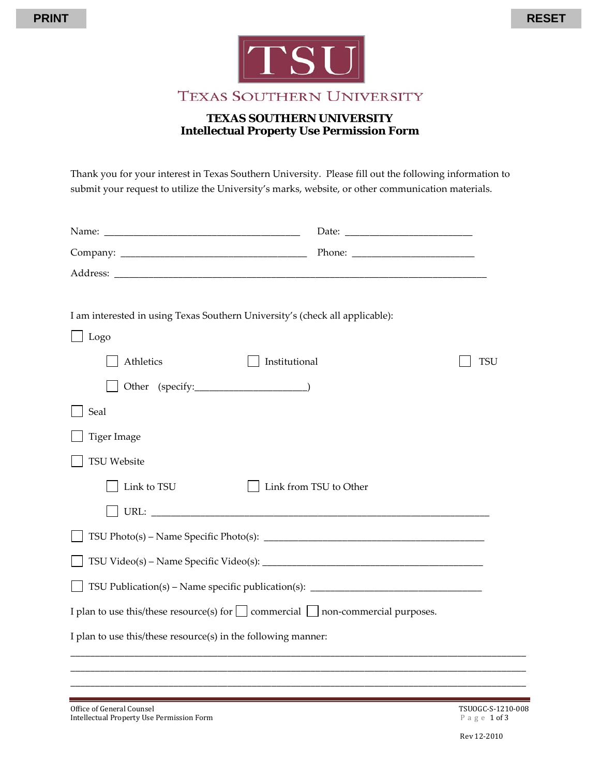



TEXAS SOUTHERN UNIVERSITY

# **TEXAS SOUTHERN UNIVERSITY Intellectual Property Use Permission Form**

Thank you for your interest in Texas Southern University. Please fill out the following information to submit your request to utilize the University's marks, website, or other communication materials.

| I am interested in using Texas Southern University's (check all applicable):               |                                                                                  |     |
|--------------------------------------------------------------------------------------------|----------------------------------------------------------------------------------|-----|
| Logo                                                                                       |                                                                                  |     |
| Athletics                                                                                  | Institutional                                                                    | TSU |
|                                                                                            |                                                                                  |     |
| Seal                                                                                       |                                                                                  |     |
| <b>Tiger Image</b>                                                                         |                                                                                  |     |
| <b>TSU Website</b>                                                                         |                                                                                  |     |
| Link to TSU                                                                                | Link from TSU to Other                                                           |     |
|                                                                                            |                                                                                  |     |
|                                                                                            |                                                                                  |     |
|                                                                                            |                                                                                  |     |
|                                                                                            | TSU Publication(s) – Name specific publication(s): _____________________________ |     |
| I plan to use this/these resource(s) for $\Box$ commercial $\Box$ non-commercial purposes. |                                                                                  |     |
| I plan to use this/these resource(s) in the following manner:                              |                                                                                  |     |
|                                                                                            |                                                                                  |     |
|                                                                                            |                                                                                  |     |
|                                                                                            |                                                                                  |     |

Office of General Counsel Counsel and South Counsel TSUOGC-S-1210-008<br>  $\blacksquare$  TSUOGC-S-1210-008<br>  $\blacksquare$  a g e 1 of 3 Intellectual Property Use Permission Form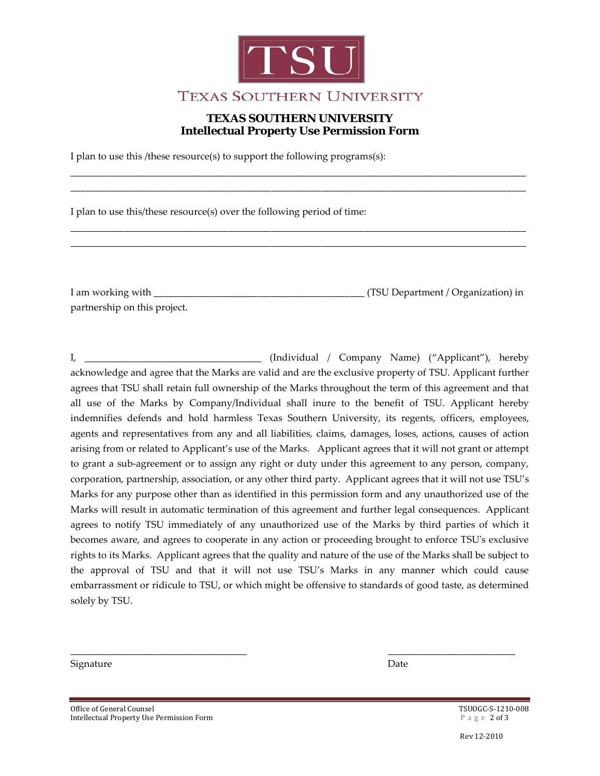

# **TEXAS SOUTHERN UNIVERSITY Intellectual Property Use Permission Form**

\_\_\_\_\_\_\_\_\_\_\_\_\_\_\_\_\_\_\_\_\_\_\_\_\_\_\_\_\_\_\_\_\_\_\_\_\_\_\_\_\_\_\_\_\_\_\_\_\_\_\_\_\_\_\_\_\_\_\_\_\_\_\_\_\_\_\_\_\_\_\_\_\_\_\_\_\_\_\_\_\_\_\_\_\_\_\_\_\_\_\_\_\_ \_\_\_\_\_\_\_\_\_\_\_\_\_\_\_\_\_\_\_\_\_\_\_\_\_\_\_\_\_\_\_\_\_\_\_\_\_\_\_\_\_\_\_\_\_\_\_\_\_\_\_\_\_\_\_\_\_\_\_\_\_\_\_\_\_\_\_\_\_\_\_\_\_\_\_\_\_\_\_\_\_\_\_\_\_\_\_\_\_\_\_\_\_

\_\_\_\_\_\_\_\_\_\_\_\_\_\_\_\_\_\_\_\_\_\_\_\_\_\_\_\_\_\_\_\_\_\_\_\_\_\_\_\_\_\_\_\_\_\_\_\_\_\_\_\_\_\_\_\_\_\_\_\_\_\_\_\_\_\_\_\_\_\_\_\_\_\_\_\_\_\_\_\_\_\_\_\_\_\_\_\_\_\_\_\_\_ \_\_\_\_\_\_\_\_\_\_\_\_\_\_\_\_\_\_\_\_\_\_\_\_\_\_\_\_\_\_\_\_\_\_\_\_\_\_\_\_\_\_\_\_\_\_\_\_\_\_\_\_\_\_\_\_\_\_\_\_\_\_\_\_\_\_\_\_\_\_\_\_\_\_\_\_\_\_\_\_\_\_\_\_\_\_\_\_\_\_\_\_\_

I plan to use this /these resource(s) to support the following programs(s):

I plan to use this/these resource(s) over the following period of time:

I am working with \_\_\_\_\_\_\_\_\_\_\_\_\_\_\_\_\_\_\_\_\_\_\_\_\_\_\_\_\_\_\_\_\_\_\_\_\_\_\_\_\_\_\_ (TSU Department / Organization) in partnership on this project.

I, \_\_\_\_\_\_\_\_\_\_\_\_\_\_\_\_\_\_\_\_\_\_\_\_\_\_\_\_\_\_\_\_\_\_\_\_ (Individual / Company Name) ("Applicant"), hereby acknowledge and agree that the Marks are valid and are the exclusive property of TSU. Applicant further agrees that TSU shall retain full ownership of the Marks throughout the term of this agreement and that all use of the Marks by Company/Individual shall inure to the benefit of TSU. Applicant hereby indemnifies defends and hold harmless Texas Southern University, its regents, officers, employees, agents and representatives from any and all liabilities, claims, damages, loses, actions, causes of action arising from or related to Applicant's use of the Marks. Applicant agrees that it will not grant or attempt to grant a sub-agreement or to assign any right or duty under this agreement to any person, company, corporation, partnership, association, or any other third party. Applicant agrees that it will not use TSU's Marks for any purpose other than as identified in this permission form and any unauthorized use of the Marks will result in automatic termination of this agreement and further legal consequences. Applicant agrees to notify TSU immediately of any unauthorized use of the Marks by third parties of which it becomes aware, and agrees to cooperate in any action or proceeding brought to enforce TSU's exclusive rights to its Marks. Applicant agrees that the quality and nature of the use of the Marks shall be subject to the approval of TSU and that it will not use TSU's Marks in any manner which could cause embarrassment or ridicule to TSU, or which might be offensive to standards of good taste, as determined solely by TSU.

\_\_\_\_\_\_\_\_\_\_\_\_\_\_\_\_\_\_\_\_\_\_\_\_\_\_\_\_\_\_\_\_\_\_\_\_ \_\_\_\_\_\_\_\_\_\_\_\_\_\_\_\_\_\_\_\_\_\_\_\_\_\_

Signature Date